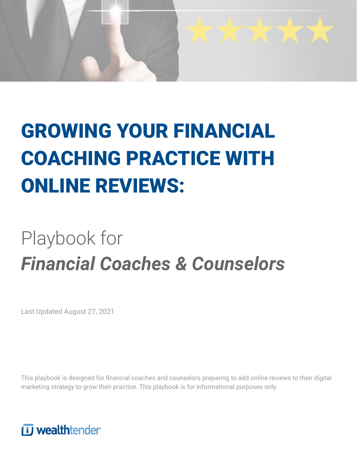

# GROWING YOUR FINANCIAL COACHING PRACTICE WITH ONLINE REVIEWS:

# Playbook for *Financial Coaches & Counselors*

Last Updated August 27, 2021

This playbook is designed for financial coaches and counselors preparing to add online reviews to their digital marketing strategy to grow their practice. This playbook is for informational purposes only.

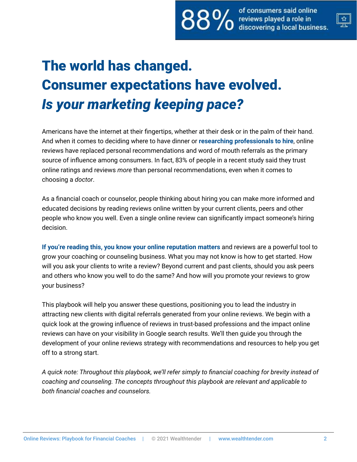

# The world has changed. Consumer expectations have evolved. *Is your marketing keeping pace?*

Americans have the internet at their fingertips, whether at their desk or in the palm of their hand. And when it comes to deciding where to have dinner or **researching professionals to hire**, online reviews have replaced personal recommendations and word of mouth referrals as the primary source of influence among consumers. In fact, 83% of people in a recent study said they trust online ratings and reviews *more* than personal recommendations, even when it comes to choosing a *doctor*.

As a financial coach or counselor, people thinking about hiring you can make more informed and educated decisions by reading reviews online written by your current clients, peers and other people who know you well. Even a single online review can significantly impact someone's hiring decision.

**If you're reading this, you know your online reputation matters** and reviews are a powerful tool to grow your coaching or counseling business. What you may not know is how to get started. How will you ask your clients to write a review? Beyond current and past clients, should you ask peers and others who know you well to do the same? And how will you promote your reviews to grow your business?

This playbook will help you answer these questions, positioning you to lead the industry in attracting new clients with digital referrals generated from your online reviews. We begin with a quick look at the growing influence of reviews in trust-based professions and the impact online reviews can have on your visibility in Google search results. We'll then guide you through the development of your online reviews strategy with recommendations and resources to help you get off to a strong start.

*A quick note: Throughout this playbook, we'll refer simply to financial coaching for brevity instead of coaching and counseling. The concepts throughout this playbook are relevant and applicable to both financial coaches and counselors.*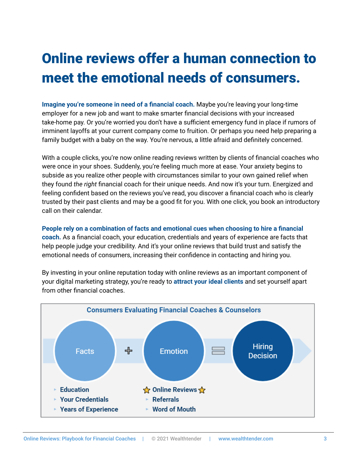# Online reviews offer a human connection to meet the emotional needs of consumers.

**Imagine you're someone in need of a financial coach.** Maybe you're leaving your long-time employer for a new job and want to make smarter financial decisions with your increased take-home pay. Or you're worried you don't have a sufficient emergency fund in place if rumors of imminent layoffs at your current company come to fruition. Or perhaps you need help preparing a family budget with a baby on the way. You're nervous, a little afraid and definitely concerned.

With a couple clicks, you're now online reading reviews written by clients of financial coaches who were once in your shoes. Suddenly, you're feeling much more at ease. Your anxiety begins to subside as you realize other people with circumstances similar to your own gained relief when they found *the right* financial coach for their unique needs. And now it's your turn. Energized and feeling confident based on the reviews you've read, you discover a financial coach who is clearly trusted by their past clients and may be a good fit for you. With one click, you book an introductory call on their calendar.

**People rely on a combination of facts and emotional cues when choosing to hire a financial coach.** As a financial coach, your education, credentials and years of experience are facts that help people judge your credibility. And it's your online reviews that build trust and satisfy the emotional needs of consumers, increasing their confidence in contacting and hiring you.

By investing in your online reputation today with online reviews as an important component of your digital marketing strategy, you're ready to **attract your ideal clients** and set yourself apart from other financial coaches.

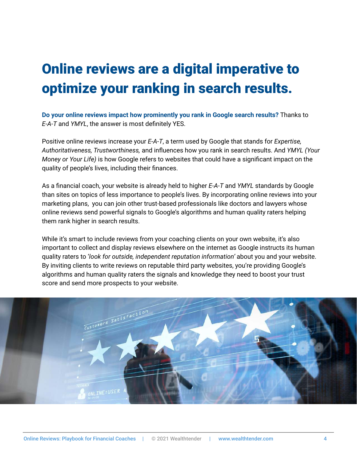# Online reviews are a digital imperative to optimize your ranking in search results.

**Do your online reviews impact how prominently you rank in Google search results?** Thanks to *E-A-T* and *YMYL*, the answer is most definitely YES.

Positive online reviews increase your *E-A-T*, a term used by Google that stands for *Expertise, Authoritativeness, Trustworthiness,* and influences how you rank in search results. And *YMYL (Your Money or Your Life)* is how Google refers to websites that could have a significant impact on the quality of people's lives, including their finances.

As a financial coach, your website is already held to higher *E-A-T* and *YMYL* standards by Google than sites on topics of less importance to people's lives. By incorporating online reviews into your marketing plans, you can join other trust-based professionals like doctors and lawyers whose online reviews send powerful signals to Google's algorithms and human quality raters helping them rank higher in search results.

While it's smart to include reviews from your coaching clients on your own website, it's also important to collect and display reviews elsewhere on the internet as Google instructs its human quality raters to '*look for outside, independent reputation information'* about you and your website. By inviting clients to write reviews on reputable third party websites, you're providing Google's algorithms and human quality raters the signals and knowledge they need to boost your trust score and send more prospects to your website.

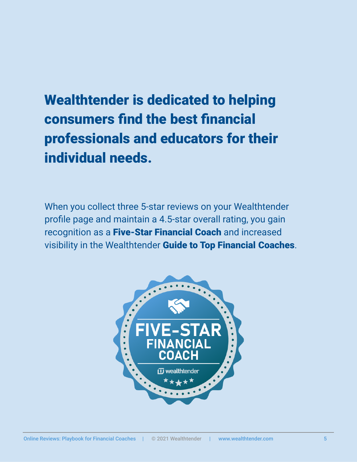# Wealthtender is dedicated to helping consumers find the best financial professionals and educators for their individual needs.

When you collect three 5-star reviews on your Wealthtender profile page and maintain a 4.5-star overall rating, you gain recognition as a Five-Star Financial Coach and increased visibility in the Wealthtender Guide to Top Financial Coaches.

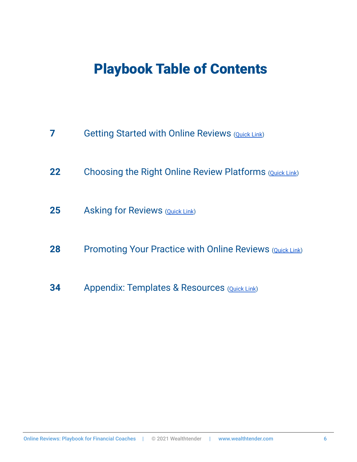## Playbook Table of Contents

- Getting Started with Online Reviews [\(Quick Link](#page-6-0))
- Choosing the Right Online Review Platforms [\(Quick Link](#page-9-0))
- Asking for Reviews [\(Quick Link](#page-11-0))
- Promoting Your Practice with Online Reviews ([Quick Link\)](#page-12-0)
- Appendix: Templates & Resources [\(Quick Link](#page-17-0))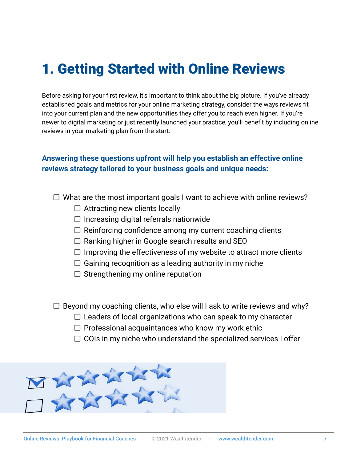## <span id="page-6-0"></span>1. Getting Started with Online Reviews

Before asking for your first review, it's important to think about the big picture. If you've already established goals and metrics for your online marketing strategy, consider the ways reviews fit into your current plan and the new opportunities they offer you to reach even higher. If you're newer to digital marketing or just recently launched your practice, you'll benefit by including online reviews in your marketing plan from the start.

### **Answering these questions upfront will help you establish an effective online reviews strategy tailored to your business goals and unique needs:**

- $\Box$  What are the most important goals I want to achieve with online reviews?
	- $\Box$  Attracting new clients locally
	- $\Box$  Increasing digital referrals nationwide
	- $\Box$  Reinforcing confidence among my current coaching clients
	- $\Box$  Ranking higher in Google search results and SEO
	- $\Box$  Improving the effectiveness of my website to attract more clients
	- $\Box$  Gaining recognition as a leading authority in my niche
	- $\Box$  Strengthening my online reputation
- $\Box$  Beyond my coaching clients, who else will I ask to write reviews and why?
	- $\Box$  Leaders of local organizations who can speak to my character
	- $\Box$  Professional acquaintances who know my work ethic
	- $\Box$  COIs in my niche who understand the specialized services I offer

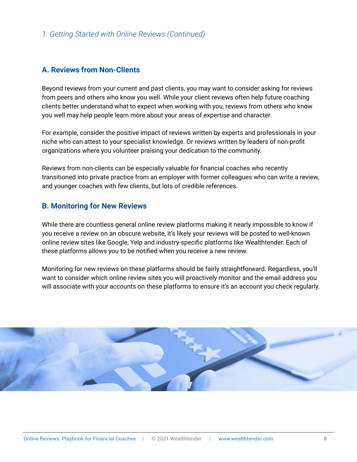### *1. Getting Started with Online Reviews (Continued)*

#### **A. Reviews from Non-Clients**

Beyond reviews from your current and past clients, you may want to consider asking for reviews from peers and others who know you well. While your client reviews often help future coaching clients better understand what to expect when working with you, reviews from others who know you well may help people learn more about your areas of expertise and character.

For example, consider the positive impact of reviews written by experts and professionals in your niche who can attest to your specialist knowledge. Or reviews written by leaders of non-profit organizations where you volunteer praising your dedication to the community.

Reviews from non-clients can be especially valuable for financial coaches who recently transitioned into private practice from an employer with former colleagues who can write a review, and younger coaches with few clients, but lots of credible references.

#### **B. Monitoring for New Reviews**

While there are countless general online review platforms making it nearly impossible to know if you receive a review on an obscure website, it's likely your reviews will be posted to well-known online review sites like Google, Yelp and industry-specific platforms like Wealthtender. Each of these platforms allows you to be notified when you receive a new review.

Monitoring for new reviews on these platforms should be fairly straightforward. Regardless, you'll want to consider which online review sites you will proactively monitor and the email address you will associate with your accounts on these platforms to ensure it's an account you check regularly.

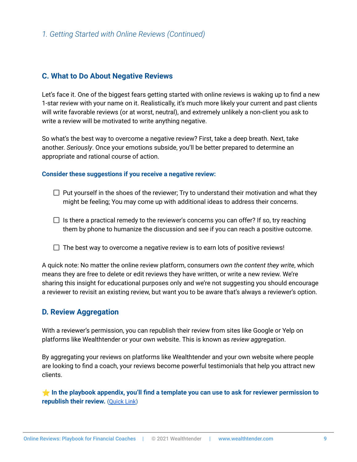### *1. Getting Started with Online Reviews (Continued)*

#### **C. What to Do About Negative Reviews**

Let's face it. One of the biggest fears getting started with online reviews is waking up to find a new 1-star review with your name on it. Realistically, it's much more likely your current and past clients will write favorable reviews (or at worst, neutral), and extremely unlikely a non-client you ask to write a review will be motivated to write anything negative.

So what's the best way to overcome a negative review? First, take a deep breath. Next, take another. *Seriously*. Once your emotions subside, you'll be better prepared to determine an appropriate and rational course of action.

#### **Consider these suggestions if you receive a negative review:**

- $\Box$  Put yourself in the shoes of the reviewer; Try to understand their motivation and what they might be feeling; You may come up with additional ideas to address their concerns.
- $\Box$  Is there a practical remedy to the reviewer's concerns you can offer? If so, try reaching them by phone to humanize the discussion and see if you can reach a positive outcome.
- $\Box$  The best way to overcome a negative review is to earn lots of positive reviews!

A quick note: No matter the online review platform, consumers *own the content they write*, which means they are free to delete or edit reviews they have written, or write a new review. We're sharing this insight for educational purposes only and we're not suggesting you should encourage a reviewer to revisit an existing review, but want you to be aware that's always a reviewer's option.

### **D. Review Aggregation**

With a reviewer's permission, you can republish their review from sites like Google or Yelp on platforms like Wealthtender or your own website. This is known as *review aggregation*.

By aggregating your reviews on platforms like Wealthtender and your own website where people are looking to find a coach, your reviews become powerful testimonials that help you attract new clients.

⭐ **In the playbook appendix, you'll find a template you can use to ask for reviewer permission to republish their review.** [\(Quick Link](#page-21-0))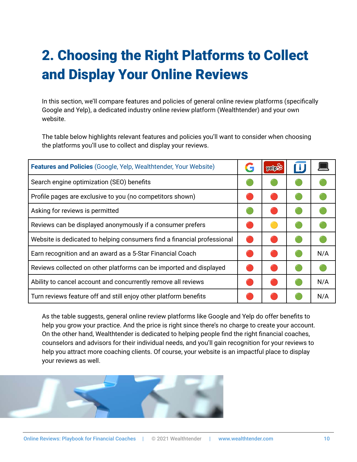# <span id="page-9-0"></span>2. Choosing the Right Platforms to Collect and Display Your Online Reviews

In this section, we'll compare features and policies of general online review platforms (specifically Google and Yelp), a dedicated industry online review platform (Wealthtender) and your own website.

The table below highlights relevant features and policies you'll want to consider when choosing the platforms you'll use to collect and display your reviews.

| <b>Features and Policies (Google, Yelp, Wealthtender, Your Website)</b> | G | yelpes |     |
|-------------------------------------------------------------------------|---|--------|-----|
| Search engine optimization (SEO) benefits                               |   |        |     |
| Profile pages are exclusive to you (no competitors shown)               |   |        |     |
| Asking for reviews is permitted                                         |   |        |     |
| Reviews can be displayed anonymously if a consumer prefers              |   |        |     |
| Website is dedicated to helping consumers find a financial professional |   |        |     |
| Earn recognition and an award as a 5-Star Financial Coach               |   |        | N/A |
| Reviews collected on other platforms can be imported and displayed      |   |        |     |
| Ability to cancel account and concurrently remove all reviews           |   |        | N/A |
| Turn reviews feature off and still enjoy other platform benefits        |   |        | N/A |

As the table suggests, general online review platforms like Google and Yelp do offer benefits to help you grow your practice. And the price is right since there's no charge to create your account. On the other hand, Wealthtender is dedicated to helping people find the right financial coaches, counselors and advisors for their individual needs, and you'll gain recognition for your reviews to help you attract more coaching clients. Of course, your website is an impactful place to display your reviews as well.

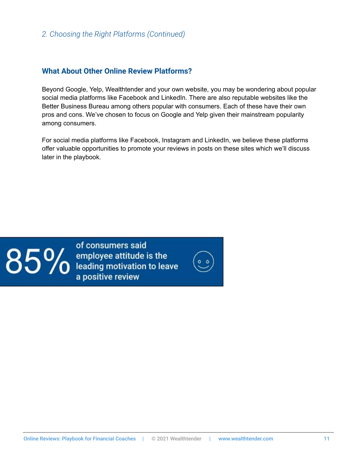### *2. Choosing the Right Platforms (Continued)*

#### **What About Other Online Review Platforms?**

Beyond Google, Yelp, Wealthtender and your own website, you may be wondering about popular social media platforms like Facebook and LinkedIn. There are also reputable websites like the Better Business Bureau among others popular with consumers. Each of these have their own pros and cons. We've chosen to focus on Google and Yelp given their mainstream popularity among consumers.

For social media platforms like Facebook, Instagram and LinkedIn, we believe these platforms offer valuable opportunities to promote your reviews in posts on these sites which we'll discuss later in the playbook.



of consumers said  $85\%$  employee attitude is the<br> $85\%$  eading motivation to leave a positive review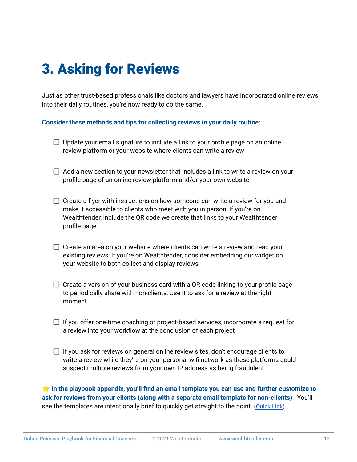# <span id="page-11-0"></span>3. Asking for Reviews

Just as other trust-based professionals like doctors and lawyers have incorporated online reviews into their daily routines, you're now ready to do the same.

**Consider these methods and tips for collecting reviews in your daily routine:**

- $\Box$  Update your email signature to include a link to your profile page on an online review platform or your website where clients can write a review
- $\Box$  Add a new section to your newsletter that includes a link to write a review on your profile page of an online review platform and/or your own website
- $\Box$  Create a flyer with instructions on how someone can write a review for you and make it accessible to clients who meet with you in person; If you're on Wealthtender, include the QR code we create that links to your Wealthtender profile page
- $\Box$  Create an area on your website where clients can write a review and read your existing reviews; If you're on Wealthtender, consider embedding our widget on your website to both collect and display reviews
- $\Box$  Create a version of your business card with a QR code linking to your profile page to periodically share with non-clients; Use it to ask for a review at the right moment
- $\Box$  If you offer one-time coaching or project-based services, incorporate a request for a review into your workflow at the conclusion of each project
- $\Box$  If you ask for reviews on general online review sites, don't encourage clients to write a review while they're on your personal wifi network as these platforms could suspect multiple reviews from your own IP address as being fraudulent

⭐ **In the playbook appendix, you'll find an email template you can use and further customize to ask for reviews from your clients (along with a separate email template for non-clients)**. You'll see the templates are intentionally brief to quickly get straight to the point. [\(Quick Link](#page-18-0))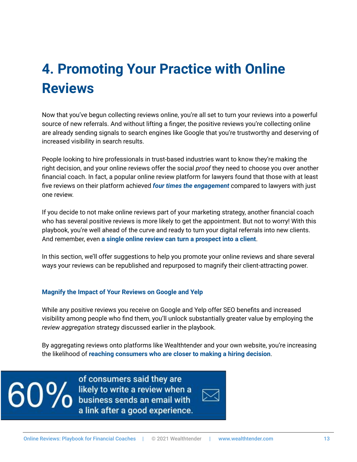# <span id="page-12-0"></span>**4. Promoting Your Practice with Online Reviews**

Now that you've begun collecting reviews online, you're all set to turn your reviews into a powerful source of new referrals. And without lifting a finger, the positive reviews you're collecting online are already sending signals to search engines like Google that you're trustworthy and deserving of increased visibility in search results.

People looking to hire professionals in trust-based industries want to know they're making the right decision, and your online reviews offer the social *proof* they need to choose you over another financial coach. In fact, a popular online review platform for lawyers found that those with at least five reviews on their platform achieved *four times the engagement* compared to lawyers with just one review.

If you decide to not make online reviews part of your marketing strategy, another financial coach who has several positive reviews is more likely to get the appointment. But not to worry! With this playbook, you're well ahead of the curve and ready to turn your digital referrals into new clients. And remember, even **a single online review can turn a prospect into a client**.

In this section, we'll offer suggestions to help you promote your online reviews and share several ways your reviews can be republished and repurposed to magnify their client-attracting power.

#### **Magnify the Impact of Your Reviews on Google and Yelp**

While any positive reviews you receive on Google and Yelp offer SEO benefits and increased visibility among people who find them, you'll unlock substantially greater value by employing the *review aggregation* strategy discussed earlier in the playbook.

By aggregating reviews onto platforms like Wealthtender and your own website, you're increasing the likelihood of **reaching consumers who are closer to making a hiring decision**.

<u>90</u>

of consumers said they are likely to write a review when a business sends an email with a link after a good experience.

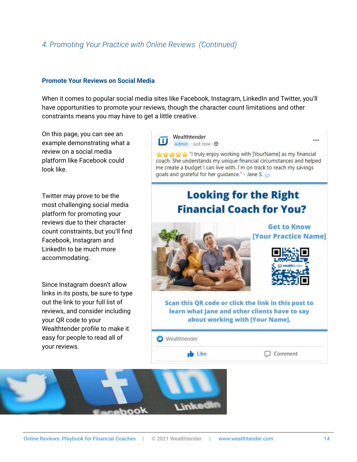### *4. Promoting Your Practice with Online Reviews (Continued)*

#### **Promote Your Reviews on Social Media**

When it comes to popular social media sites like Facebook, Instagram, LinkedIn and Twitter, you'll have opportunities to promote your reviews, though the character count limitations and other constraints means you may have to get a little creative.

On this page, you can see an example demonstrating what a review on a social media platform like Facebook could look like.

Twitter may prove to be the most challenging social media platform for promoting your reviews due to their character count constraints, but you'll find Facebook, Instagram and LinkedIn to be much more accommodating.

Since Instagram doesn't allow links in its posts, be sure to type out the link to your full list of reviews, and consider including your QR code to your Wealthtender profile to make it easy for people to read all of your reviews.



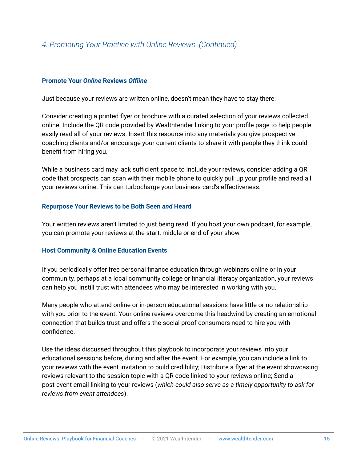### *4. Promoting Your Practice with Online Reviews (Continued)*

#### **Promote Your** *Online* **Reviews** *Offline*

Just because your reviews are written online, doesn't mean they have to stay there.

Consider creating a printed flyer or brochure with a curated selection of your reviews collected online. Include the QR code provided by Wealthtender linking to your profile page to help people easily read all of your reviews. Insert this resource into any materials you give prospective coaching clients and/or encourage your current clients to share it with people they think could benefit from hiring you.

While a business card may lack sufficient space to include your reviews, consider adding a QR code that prospects can scan with their mobile phone to quickly pull up your profile and read all your reviews online. This can turbocharge your business card's effectiveness.

#### **Repurpose Your Reviews to be Both Seen** *and* **Heard**

Your written reviews aren't limited to just being read. If you host your own podcast, for example, you can promote your reviews at the start, middle or end of your show.

#### **Host Community & Online Education Events**

If you periodically offer free personal finance education through webinars online or in your community, perhaps at a local community college or financial literacy organization, your reviews can help you instill trust with attendees who may be interested in working with you.

Many people who attend online or in-person educational sessions have little or no relationship with you prior to the event. Your online reviews overcome this headwind by creating an emotional connection that builds trust and offers the social proof consumers need to hire you with confidence.

Use the ideas discussed throughout this playbook to incorporate your reviews into your educational sessions before, during and after the event. For example, you can include a link to your reviews with the event invitation to build credibility; Distribute a flyer at the event showcasing reviews relevant to the session topic with a QR code linked to your reviews online; Send a post-event email linking to your reviews (*which could also serve as a timely opportunity to ask for reviews from event attendees*).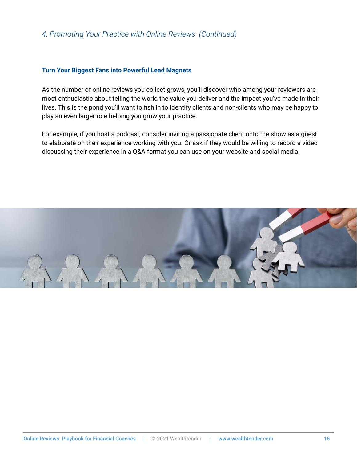### *4. Promoting Your Practice with Online Reviews (Continued)*

#### **Turn Your Biggest Fans into Powerful Lead Magnets**

As the number of online reviews you collect grows, you'll discover who among your reviewers are most enthusiastic about telling the world the value you deliver and the impact you've made in their lives. This is the pond you'll want to fish in to identify clients and non-clients who may be happy to play an even larger role helping you grow your practice.

For example, if you host a podcast, consider inviting a passionate client onto the show as a guest to elaborate on their experience working with you. Or ask if they would be willing to record a video discussing their experience in a Q&A format you can use on your website and social media.

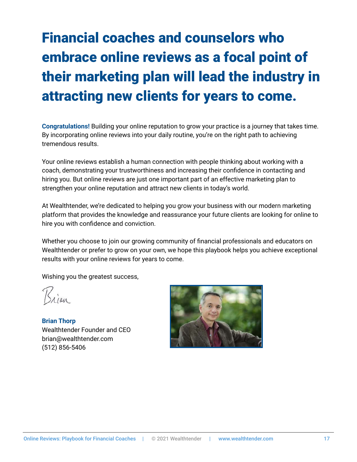# Financial coaches and counselors who embrace online reviews as a focal point of their marketing plan will lead the industry in attracting new clients for years to come.

**Congratulations!** Building your online reputation to grow your practice is a journey that takes time. By incorporating online reviews into your daily routine, you're on the right path to achieving tremendous results.

Your online reviews establish a human connection with people thinking about working with a coach, demonstrating your trustworthiness and increasing their confidence in contacting and hiring you. But online reviews are just one important part of an effective marketing plan to strengthen your online reputation and attract new clients in today's world.

At Wealthtender, we're dedicated to helping you grow your business with our modern marketing platform that provides the knowledge and reassurance your future clients are looking for online to hire you with confidence and conviction.

Whether you choose to join our growing community of financial professionals and educators on Wealthtender or prefer to grow on your own, we hope this playbook helps you achieve exceptional results with your online reviews for years to come.

Wishing you the greatest success,

**Brian Thorp** Wealthtender Founder and CEO brian@wealthtender.com (512) 856-5406

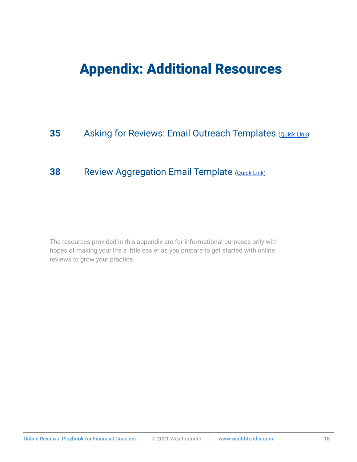### <span id="page-17-0"></span>Appendix: Additional Resources

### **35** Asking for Reviews: Email Outreach Templates [\(Quick Link](#page-21-1))

### **38** Review Aggregation Email Template ([Quick Link\)](#page-22-0)

The resources provided in this appendix are for informational purposes only with hopes of making your life a little easier as you prepare to get started with online reviews to grow your practice.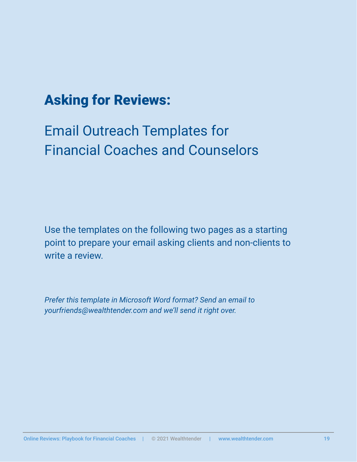## <span id="page-18-0"></span>Asking for Reviews:

# Email Outreach Templates for Financial Coaches and Counselors

Use the templates on the following two pages as a starting point to prepare your email asking clients and non-clients to write a review.

*Prefer this template in Microsoft Word format? Send an email to yourfriends@wealthtender.com and we'll send it right over.*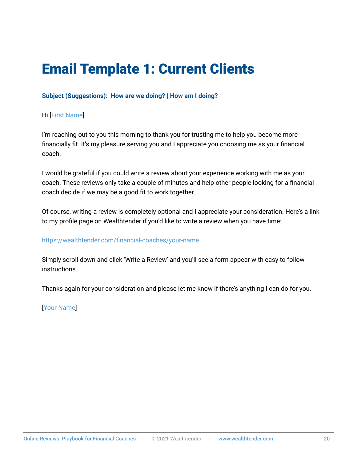# Email Template 1: Current Clients

### **Subject (Suggestions): How are we doing? | How am I doing?**

### Hi [First Name],

I'm reaching out to you this morning to thank you for trusting me to help you become more financially fit. It's my pleasure serving you and I appreciate you choosing me as your financial coach.

I would be grateful if you could write a review about your experience working with me as your coach. These reviews only take a couple of minutes and help other people looking for a financial coach decide if we may be a good fit to work together.

Of course, writing a review is completely optional and I appreciate your consideration. Here's a link to my profile page on Wealthtender if you'd like to write a review when you have time:

#### https://wealthtender.com/financial-coaches/your-name

Simply scroll down and click 'Write a Review' and you'll see a form appear with easy to follow instructions.

Thanks again for your consideration and please let me know if there's anything I can do for you.

[Your Name]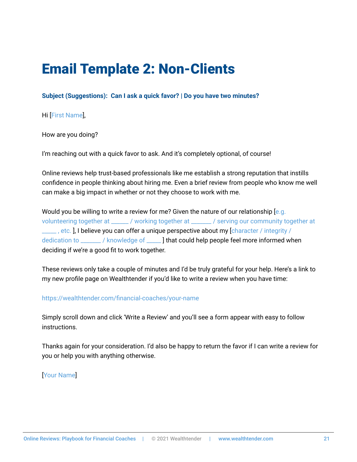## Email Template 2: Non-Clients

**Subject (Suggestions): Can I ask a quick favor? | Do you have two minutes?**

Hi [First Name],

How are you doing?

I'm reaching out with a quick favor to ask. And it's completely optional, of course!

Online reviews help trust-based professionals like me establish a strong reputation that instills confidence in people thinking about hiring me. Even a brief review from people who know me well can make a big impact in whether or not they choose to work with me.

Would you be willing to write a review for me? Given the nature of our relationship  $[e.g.$ volunteering together at \_\_\_\_\_\_ / working together at \_\_\_\_\_\_\_ / serving our community together at Letter , etc. ], I believe you can offer a unique perspective about my [character / integrity / dedication to \_\_\_\_\_\_\_ / knowledge of \_\_\_\_\_ ] that could help people feel more informed when deciding if we're a good fit to work together.

These reviews only take a couple of minutes and I'd be truly grateful for your help. Here's a link to my new profile page on Wealthtender if you'd like to write a review when you have time:

https://wealthtender.com/financial-coaches/your-name

Simply scroll down and click 'Write a Review' and you'll see a form appear with easy to follow instructions.

Thanks again for your consideration. I'd also be happy to return the favor if I can write a review for you or help you with anything otherwise.

[Your Name]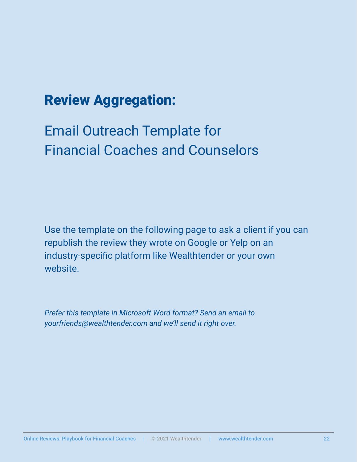## <span id="page-21-0"></span>Review Aggregation:

# <span id="page-21-1"></span>Email Outreach Template for Financial Coaches and Counselors

Use the template on the following page to ask a client if you can republish the review they wrote on Google or Yelp on an industry-specific platform like Wealthtender or your own website.

*Prefer this template in Microsoft Word format? Send an email to yourfriends@wealthtender.com and we'll send it right over.*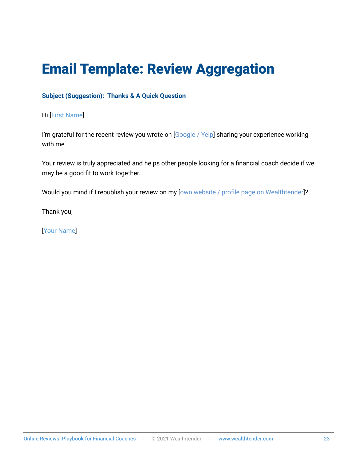# <span id="page-22-0"></span>Email Template: Review Aggregation

### **Subject (Suggestion): Thanks & A Quick Question**

Hi [First Name],

I'm grateful for the recent review you wrote on [Google / Yelp] sharing your experience working with me.

Your review is truly appreciated and helps other people looking for a financial coach decide if we may be a good fit to work together.

Would you mind if I republish your review on my [own website / profile page on Wealthtender]?

Thank you,

[Your Name]